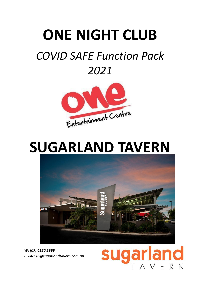# **ONE NIGHT CLUB**

# *COVID SAFE Function Pack 2021*



# **SUGARLAND TAVERN**



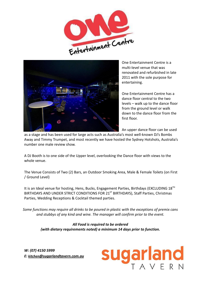



One Entertainment Centre is a multi-level venue that was renovated and refurbished in late 2011 with the sole purpose for entertaining.

One Entertainment Centre has a dance floor central to the two levels – walk up to the dance floor from the ground level or walk down to the dance floor from the first floor.

An upper dance floor can be used

as a stage and has been used for large acts such as Australia's most well-known DJ's Bombs Away and Timmy Trumpet, and most recently we have hosted the Sydney Hotshots, Australia's number one male review show.

A DJ Booth is to one side of the Upper level, overlooking the Dance floor with views to the whole venue.

The Venue Consists of Two (2) Bars, an Outdoor Smoking Area, Male & Female Toilets (on First / Ground Level)

It is an Ideal venue for hosting, Hens, Bucks, Engagement Parties, Birthdays (EXCLUDING 18<sup>TH</sup> BIRTHDAYS AND UNDER STRICT CONDITIONS FOR 21<sup>ST</sup> BIRTHDAYS), Staff Parties, Christmas Parties, Wedding Receptions & Cocktail themed parties.

*Some functions may require all drinks to be poured in plastic with the exceptions of premix cans and stubbys of any kind and wine. The manager will confirm prior to the event.*

> *All Food is required to be ordered (with dietary requirements noted) a minimum 14 days prior to function.*

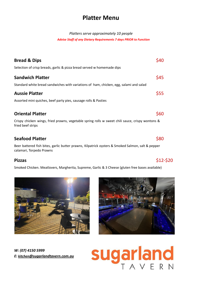## **Platter Menu**

#### *Platters serve approximately 10 people*

#### *Advise Staff of any Dietary Requirements 7 days PRIOR to Function*

| <b>Bread &amp; Dips</b>                                                                                               |      |
|-----------------------------------------------------------------------------------------------------------------------|------|
| Selection of crisp breads, garlic & pizza bread served w homemade dips                                                |      |
| <b>Sandwich Platter</b>                                                                                               | S45  |
| Standard white bread sandwiches with variations of ham, chicken, egg, salami and salad                                |      |
| <b>Aussie Platter</b>                                                                                                 | \$55 |
| Assorted mini quiches, beef party pies, sausage rolls & Pasties                                                       |      |
| <b>Oriental Platter</b>                                                                                               | S60  |
| Crispy chicken wings, fried prawns, vegetable spring rolls w sweet chili sauce, crispy wontons &<br>fried beef strips |      |
| <b>Seafood Platter</b>                                                                                                | \$80 |
| Beer battered fish bites, garlic butter prawns. Kilpatrick ovsters & Smoked Salmon, salt & pepper                     |      |

Beer battered fish bites, garlic butter prawns, Kilpatrick oysters & Smoked Salmon, salt & pepper calamari, Torpedo Prawns

Smoked Chicken. Meatlovers, Margherita, Supreme, Garlic & 3 Cheese (gluten free bases available)





*W: (07) 4150 5999 E: kitchen[@sugarlandtavern.com.au](mailto:kitchen@sugarlandtavern.com.au)*

# Sugarland

#### **Pizzas**  $\frac{1}{2}$  \$12-\$20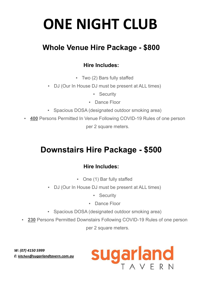# **ONE NIGHT CLUB**

## **Whole Venue Hire Package - \$800**

## **Hire Includes:**

- Two (2) Bars fully staffed
- DJ (Our In House DJ must be present at ALL times)
	- **•** Security
	- Dance Floor
- Spacious DOSA (designated outdoor smoking area)
- **400** Persons Permitted In Venue Following COVID-19 Rules of one person per 2 square meters.

# **Downstairs Hire Package - \$500**

## **Hire Includes:**

- One (1) Bar fully staffed
- DJ (Our In House DJ must be present at ALL times)
	- **•** Security
	- Dance Floor
- Spacious DOSA (designated outdoor smoking area)
- **230** Persons Permitted Downstairs Following COVID-19 Rules of one person

per 2 square meters.

Sugarland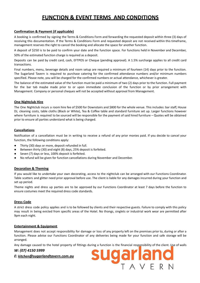### **FUNCTION & EVENT TERMS AND CONDITIONS**

#### **Confirmation & Payment (if applicable)**

A booking is confirmed by signing the Terms & Conditions Form and forwarding the requested deposit within three (3) days of receiving this documentation. If the Terms & Conditions Form and requested deposit are not received within this timeframe, management reserves the right to cancel the booking and allocate the space for another function.

A deposit of \$250 is to be paid to confirm your date and the function space. For functions held in November and December,

50% of the estimated function charge is required as a deposit.

Deposits can be paid by credit card, cash, EFTPOS or Cheque (pending approval). A 1.5% surcharge applies to all credit card transactions.

Final numbers, menu, beverage details and room setup are required a minimum of fourteen (14) days prior to the function. The Sugarland Tavern is required to purchase catering for the confirmed attendance numbers and/or minimum numbers specified. Please note, you will be charged for the confirmed numbers or actual attendance, whichever is greater.

The balance of the estimated value of the function must be paid a minimum of two (2) days prior to the function. Full payment for the bar tab maybe made prior to or upon immediate conclusion of the function or by prior arrangement with Management. Company or personal cheques will not be accepted without approval from Management.

#### **One Nightclub Hire**

The One Nightclub incurs a room hire fee of \$500 for Downstairs and \$800 for the whole venue. This includes: bar staff, House DJ, cleaning costs, table cloths (Black or White), Tea & Coffee table and standard furniture set up. Larger functions however where furniture is required to be sourced will be responsible for the payment of said hired furniture – Quotes will be obtained prior to ensure all parties understand what is being charged.

#### **Cancellations**

Notification of a cancellation must be in writing to receive a refund of any prior monies paid. If you decide to cancel your function, the following conditions apply:

- Thirty (30) days or more, deposit refunded in full.
- Between thirty (30) and eight (8) days, 25% deposit is forfeited.
- Seven (7) days or less, 100% deposit is forfeited.
- No refund will be given for function cancellations during November and December.

#### **Decoration & Theming**

If you would like to undertake your own decorating, access to the nightclub can be arranged with our Functions Coordinator. Table scatters and glitter need prior approval before use. The client is liable for any damages incurred during your function and set up period.

Theme nights and dress up parties are to be approved by our Functions Coordinator at least 7 days before the function to ensure costumes meet the required dress code standards.

#### **Dress Code**

A strict dress code policy applies and is to be followed by clients and their respective guests. Failure to comply with this policy may result in being evicted from specific areas of the Hotel. No thongs, singlets or industrial work wear are permitted after 9pm each night.

#### **Entertainment & Equipment**

Management does not accept responsibility for damage or loss of any property left on the premises prior to, during or after a function. Please advise our Functions Coordinator of any deliveries being made for your function and safe storage will be arranged.

Any damage caused to the hotel property of fittings during a function is the financial responsibility of the client. Use of walls

**gariand** 

#### *W: (07) 4150 5999*

*E: kitchen[@sugarlandtavern.com.au](mailto:kitchen@sugarlandtavern.com.au)*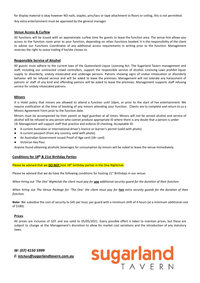for display material is okay however NO nails, staples, pins/tacs or tape attachment to floors or ceiling, this is not permitted.

Any extra entertainment must be approved by the general manager.

#### **Venue Access & Curfew**

All functions will be issued with an approximate curfew time for guests to leave the function area. The venue hire allows you access to the function room prior to your function, depending on other functions booked. It is the responsibility of the client to advise our Functions Coordinator of any additional access requirements in writing prior to the function. Management reserves the right to cease trading if he/she choses to.

#### **Responsible Service of Alcohol**

All guests must adhere to the current laws of the Queensland Liquor Licensing Act. The Sugarland Tavern management and staff, including our contracted crowd controllers, support the responsible service of alcohol. Licensing Laws prohibit liquor supply to disorderly, unduly intoxicated and underage persons. Patrons showing signs of undue intoxication or disorderly behavior will be refused service and will be asked to leave the premises. Management will not tolerate any harassment of patrons or staff of any kind and offending patrons will be asked to leave the premises. Management supports staff refusing service for unduly intoxicated patrons.

#### **Minors**

It is Hotel policy that minors are allowed to attend a function until 10pm, or prior to the start of live entertainment. We require notification at the time of booking of any minors attending your function. Clients are to complete and return to us a Minors Agreement Form prior to the function date.

Minors must be accompanied by their parent or legal guardian at all times. Minors will not be served alcohol and service of alcohol will be refused to any person who cannot produce appropriate ID where there is any doubt that a person is under 18. Management will support staff that practice and enforce ID checking. Acceptable ID:

- A current Australian or International driver's licence or learner's permit (valid with photo)
- A current passport (from any country, valid with photo)
- An Australian Government issued Proof of Age card (18+ card)
- Victorian Key Pass

Anyone found obtaining alcoholic beverages for consumption by minors will be asked to leave the venue immediately.

#### **Conditions for 18th & 21st Birthday Parties**

Please be advised that we **DO NOT** host 18<sup>th</sup> birthday parties in the One Nightclub.

Please be advised that we do have the following conditions for hosting  $21^{st}$  Birthdays in our venue:

*When hiring out 'The One' Nightclub the client must pay for one additional security guard for the duration of their function.*

*When hiring out The Venue Package for 'The One' the client must pay for two extra security guards for the duration of their function.*

**Note:** We subsidise the cost of security to \$45 per hour, per guard with a minimum shift of 4 hours (at a minimum additional cost of \$180).

#### **Prices**

All prices are inclusive of GST and are valid to 05/05/2021. Every possible effort is taken to maintain prices, but these are subject to change at the Management's discretion to allow for market cost variations and the introduction of any statutory taxes.

Sugarland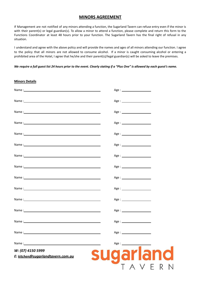#### **MINORS AGREEMENT**

If Management are not notified of any minors attending a function, the Sugarland Tavern can refuse entry even if the minor is with their parent(s) or legal guardian(s). To allow a minor to attend a function, please complete and return this form to the Functions Coordinator at least 48 hours prior to your function. The Sugarland Tavern has the final right of refusal in any situation.

I understand and agree with the above policy and will provide the names and ages of all minors attending our function. I agree to the policy that all minors are not allowed to consume alcohol. If a minor is caught consuming alcohol or entering a prohibited area of the Hotel, I agree that he/she and their parent(s)/legal guardian(s) will be asked to leave the premises.

#### *We require a full guest list 24 hours prior to the event. Clearly stating if a "Plus One" is allowed by each guest's name.*

| <b>Minors Details</b>                                                                                                                                                                                                          |                                 |
|--------------------------------------------------------------------------------------------------------------------------------------------------------------------------------------------------------------------------------|---------------------------------|
|                                                                                                                                                                                                                                | Age : _______________________   |
|                                                                                                                                                                                                                                | Age : _________________________ |
|                                                                                                                                                                                                                                | Age : _________________________ |
| Name: Name and the second contract of the second contract of the second contract of the second contract of the second contract of the second contract of the second contract of the second contract of the second contract of  | Age : _________________________ |
|                                                                                                                                                                                                                                |                                 |
| Name: with a state of the state of the state of the state of the state of the state of the state of the state of the state of the state of the state of the state of the state of the state of the state of the state of the s | Age : _________________________ |
|                                                                                                                                                                                                                                | Age : ________________________  |
|                                                                                                                                                                                                                                | Age:                            |
|                                                                                                                                                                                                                                |                                 |
|                                                                                                                                                                                                                                |                                 |
| Name: Name and the second contract of the second contract of the second contract of the second contract of the second contract of the second contract of the second contract of the second contract of the second contract of  |                                 |
|                                                                                                                                                                                                                                | Age : _______________________   |
| Name: with a state of the state of the state of the state of the state of the state of the state of the state of the state of the state of the state of the state of the state of the state of the state of the state of the s | Age:                            |
|                                                                                                                                                                                                                                |                                 |
| Name: Name and the second contract of the second contract of the second contract of the second contract of the second contract of the second contract of the second contract of the second contract of the second contract of  |                                 |
| W: (07) 4150 5999<br>E: kitchen@sugarlandtavern.com.au                                                                                                                                                                         | <b>sugarland</b>                |
|                                                                                                                                                                                                                                |                                 |